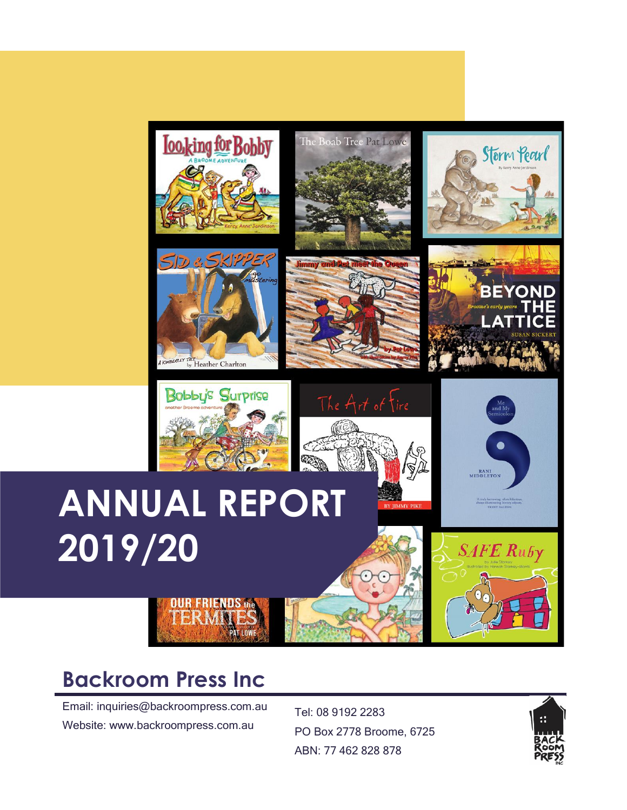





nmy and <mark>R</mark>















### **Backroom Press Inc**

Email: inquiries@backroompress.com.au Website: www.backroompress.com.au

Tel: 08 9192 2283 PO Box 2778 Broome, 6725 ABN: 77 462 828 878

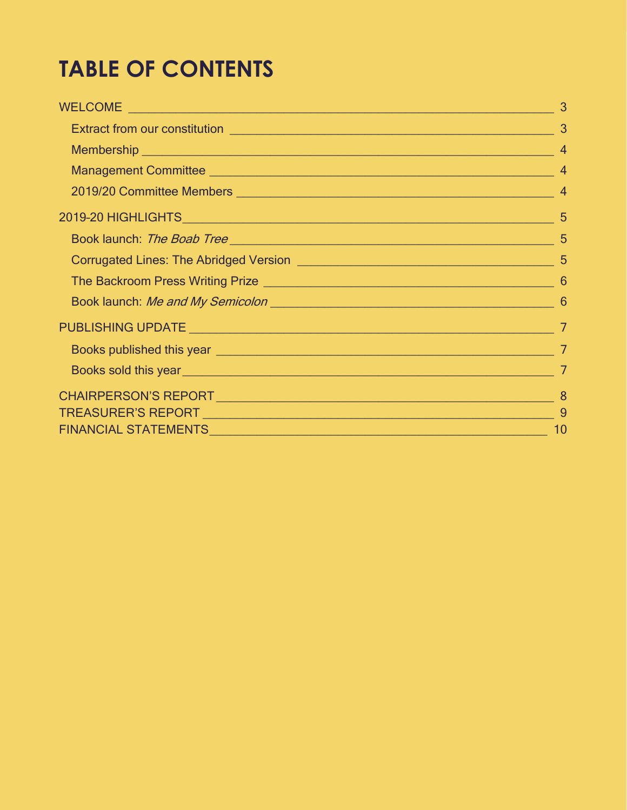## **TABLE OF CONTENTS**

| 2019/20 Committee Members 2019/20 Committee Members 2019/20 Committee Members |    |
|-------------------------------------------------------------------------------|----|
|                                                                               |    |
| Book launch: The Boab Tree                                                    |    |
|                                                                               |    |
|                                                                               |    |
|                                                                               |    |
|                                                                               |    |
|                                                                               |    |
|                                                                               |    |
|                                                                               |    |
|                                                                               |    |
|                                                                               | 10 |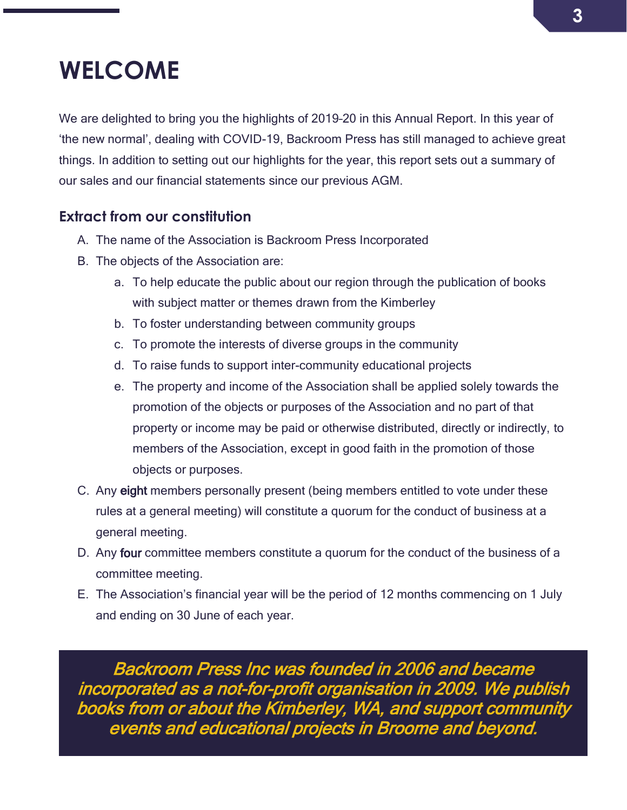### <span id="page-2-0"></span>**WELCOME**

We are delighted to bring you the highlights of 2019–20 in this Annual Report. In this year of 'the new normal', dealing with COVID-19, Backroom Press has still managed to achieve great things. In addition to setting out our highlights for the year, this report sets out a summary of our sales and our financial statements since our previous AGM.

### <span id="page-2-1"></span>**Extract from our constitution**

- A. The name of the Association is Backroom Press Incorporated
- B. The objects of the Association are:
	- a. To help educate the public about our region through the publication of books with subject matter or themes drawn from the Kimberley
	- b. To foster understanding between community groups
	- c. To promote the interests of diverse groups in the community
	- d. To raise funds to support inter-community educational projects
	- e. The property and income of the Association shall be applied solely towards the promotion of the objects or purposes of the Association and no part of that property or income may be paid or otherwise distributed, directly or indirectly, to members of the Association, except in good faith in the promotion of those objects or purposes.
- C. Any eight members personally present (being members entitled to vote under these rules at a general meeting) will constitute a quorum for the conduct of business at a general meeting.
- D. Any four committee members constitute a quorum for the conduct of the business of a committee meeting.
- E. The Association's financial year will be the period of 12 months commencing on 1 July and ending on 30 June of each year.

Backroom Press Inc was founded in 2006 and became incorporated as a not-for-profit organisation in 2009. We publish books from or about the Kimberley, WA, and support community events and educational projects in Broome and beyond.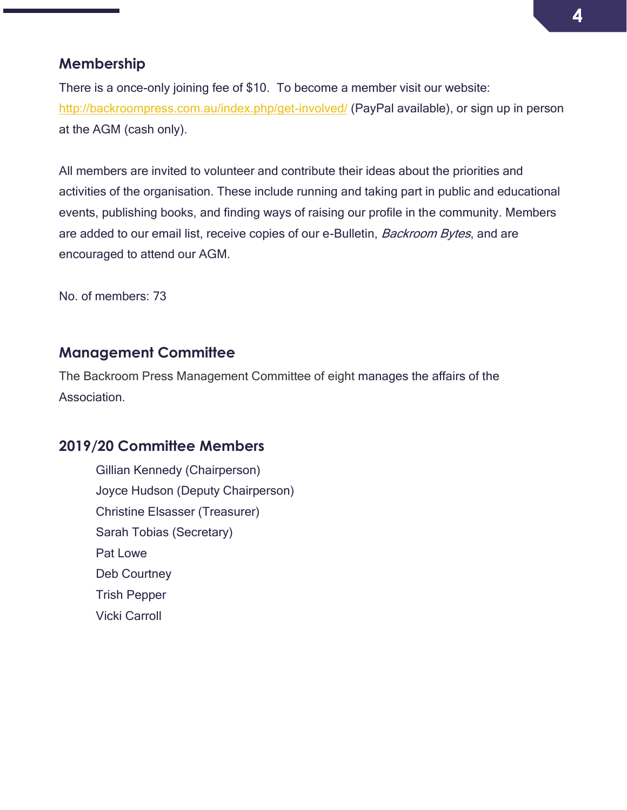#### <span id="page-3-0"></span>**Membership**

There is a once-only joining fee of \$10. To become a member visit our website: <http://backroompress.com.au/index.php/get-involved/> (PayPal available), or sign up in person at the AGM (cash only).

All members are invited to volunteer and contribute their ideas about the priorities and activities of the organisation. These include running and taking part in public and educational events, publishing books, and finding ways of raising our profile in the community. Members are added to our email list, receive copies of our e-Bulletin, Backroom Bytes, and are encouraged to attend our AGM.

No. of members: 73

#### <span id="page-3-1"></span>**Management Committee**

The Backroom Press Management Committee of eight manages the affairs of the **Association** 

#### <span id="page-3-2"></span>**2019/20 Committee Members**

Gillian Kennedy (Chairperson) Joyce Hudson (Deputy Chairperson) Christine Elsasser (Treasurer) Sarah Tobias (Secretary) Pat Lowe Deb Courtney Trish Pepper Vicki Carroll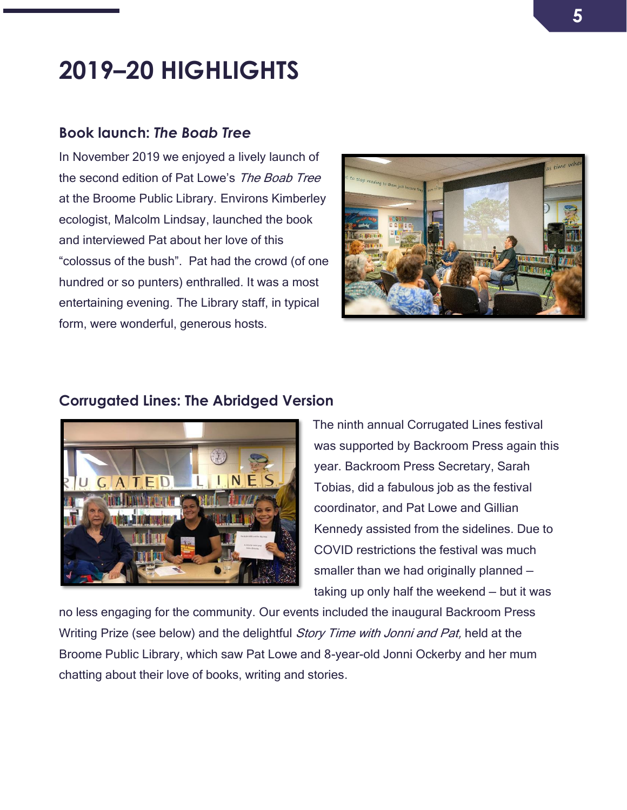### <span id="page-4-0"></span>**2019–20 HIGHLIGHTS**

#### <span id="page-4-1"></span>**Book launch:** *The Boab Tree*

In November 2019 we enjoyed a lively launch of the second edition of Pat Lowe's The Boab Tree at the Broome Public Library. Environs Kimberley ecologist, Malcolm Lindsay, launched the book and interviewed Pat about her love of this "colossus of the bush". Pat had the crowd (of one hundred or so punters) enthralled. It was a most entertaining evening. The Library staff, in typical form, were wonderful, generous hosts.



#### <span id="page-4-2"></span>**Corrugated Lines: The Abridged Version**



The ninth annual Corrugated Lines festival was supported by Backroom Press again this year. Backroom Press Secretary, Sarah Tobias, did a fabulous job as the festival coordinator, and Pat Lowe and Gillian Kennedy assisted from the sidelines. Due to COVID restrictions the festival was much smaller than we had originally planned taking up only half the weekend — but it was

no less engaging for the community. Our events included the inaugural Backroom Press Writing Prize (see below) and the delightful *Story Time with Jonni and Pat*, held at the Broome Public Library, which saw Pat Lowe and 8-year-old Jonni Ockerby and her mum chatting about their love of books, writing and stories.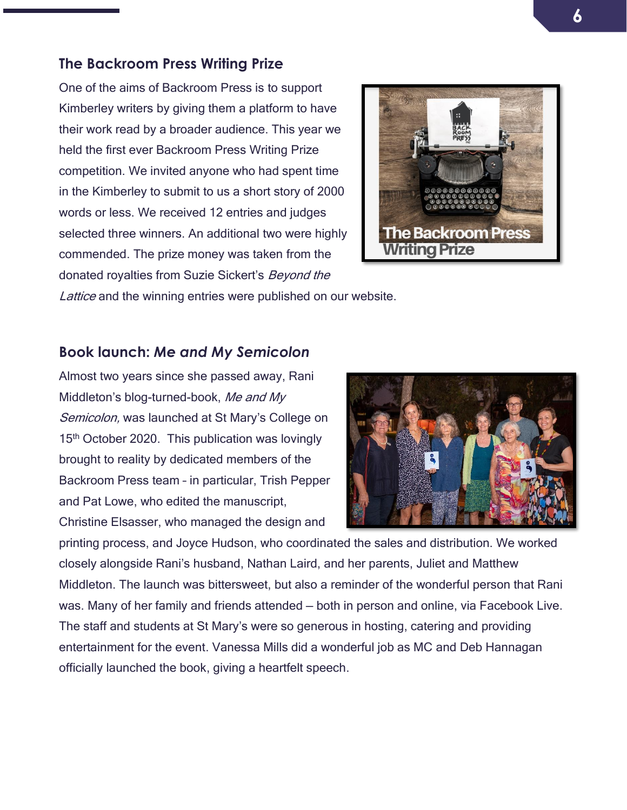#### <span id="page-5-0"></span>**The Backroom Press Writing Prize**

One of the aims of Backroom Press is to support Kimberley writers by giving them a platform to have their work read by a broader audience. This year we held the first ever Backroom Press Writing Prize competition. We invited anyone who had spent time in the Kimberley to submit to us a short story of 2000 words or less. We received 12 entries and judges selected three winners. An additional two were highly commended. The prize money was taken from the donated royalties from Suzie Sickert's Beyond the



Lattice and the winning entries were published on our website.

#### <span id="page-5-1"></span>**Book launch:** *Me and My Semicolon*

Almost two years since she passed away, Rani Middleton's blog-turned-book, Me and My Semicolon, was launched at St Mary's College on 15<sup>th</sup> October 2020. This publication was lovingly brought to reality by dedicated members of the Backroom Press team – in particular, Trish Pepper and Pat Lowe, who edited the manuscript,

Christine Elsasser, who managed the design and



printing process, and Joyce Hudson, who coordinated the sales and distribution. We worked closely alongside Rani's husband, Nathan Laird, and her parents, Juliet and Matthew Middleton. The launch was bittersweet, but also a reminder of the wonderful person that Rani was. Many of her family and friends attended — both in person and online, via Facebook Live. The staff and students at St Mary's were so generous in hosting, catering and providing entertainment for the event. Vanessa Mills did a wonderful job as MC and Deb Hannagan officially launched the book, giving a heartfelt speech.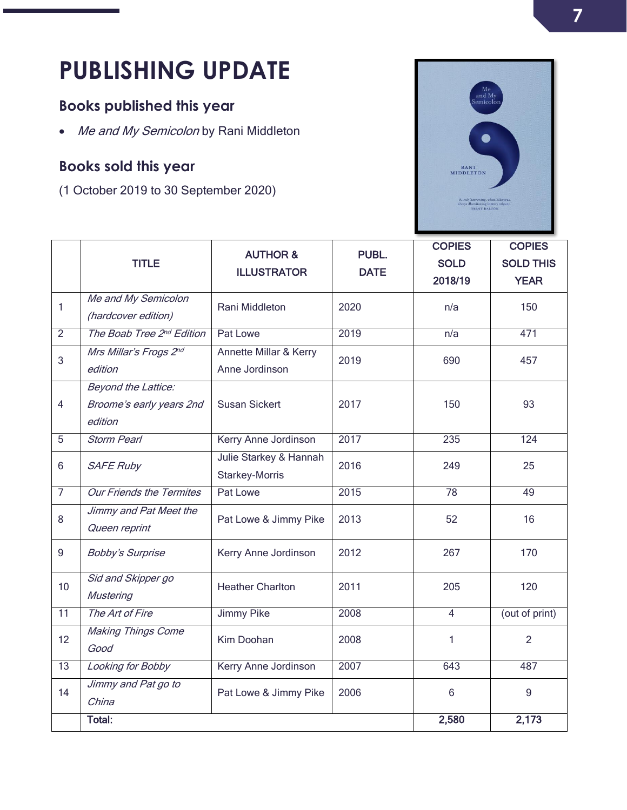# <span id="page-6-0"></span>**PUBLISHING UPDATE**

### <span id="page-6-1"></span>**Books published this year**

• Me and My Semicolon by Rani Middleton

### <span id="page-6-2"></span>**Books sold this year**

(1 October 2019 to 30 September 2020)



|                | <b>TITLE</b>                                               | <b>AUTHOR &amp;</b><br><b>ILLUSTRATOR</b> | PUBL.<br><b>DATE</b> | <b>COPIES</b><br><b>SOLD</b><br>2018/19 | <b>COPIES</b><br><b>SOLD THIS</b><br><b>YEAR</b> |
|----------------|------------------------------------------------------------|-------------------------------------------|----------------------|-----------------------------------------|--------------------------------------------------|
| 1              | Me and My Semicolon<br>(hardcover edition)                 | Rani Middleton                            | 2020                 | n/a                                     | 150                                              |
| $\overline{2}$ | The Boab Tree 2nd Edition                                  | Pat Lowe                                  | 2019                 | n/a                                     | 471                                              |
| 3              | Mrs Millar's Frogs 2nd<br>edition                          | Annette Millar & Kerry<br>Anne Jordinson  | 2019                 | 690                                     | 457                                              |
| $\overline{4}$ | Beyond the Lattice:<br>Broome's early years 2nd<br>edition | <b>Susan Sickert</b>                      | 2017                 | 150                                     | 93                                               |
| 5              | <b>Storm Pearl</b>                                         | Kerry Anne Jordinson                      | 2017                 | 235                                     | 124                                              |
| 6              | <b>SAFE Ruby</b>                                           | Julie Starkey & Hannah<br>Starkey-Morris  | 2016                 | 249                                     | 25                                               |
| $\overline{7}$ | <b>Our Friends the Termites</b>                            | Pat Lowe                                  | 2015                 | $\overline{78}$                         | 49                                               |
| 8              | Jimmy and Pat Meet the<br>Queen reprint                    | Pat Lowe & Jimmy Pike                     | 2013                 | 52                                      | 16                                               |
| $\mathsf g$    | <b>Bobby's Surprise</b>                                    | Kerry Anne Jordinson                      | 2012                 | 267                                     | 170                                              |
| 10             | Sid and Skipper go<br><b>Mustering</b>                     | <b>Heather Charlton</b>                   | 2011                 | 205                                     | 120                                              |
| 11             | The Art of Fire                                            | <b>Jimmy Pike</b>                         | 2008                 | $\overline{4}$                          | (out of print)                                   |
| 12             | <b>Making Things Come</b><br>Good                          | Kim Doohan                                | 2008                 | 1                                       | $\overline{2}$                                   |
| 13             | Looking for Bobby                                          | Kerry Anne Jordinson                      | 2007                 | 643                                     | 487                                              |
| 14             | Jimmy and Pat go to<br>China                               | Pat Lowe & Jimmy Pike                     | 2006                 | 6                                       | 9                                                |
|                | Total:                                                     |                                           |                      | 2,580                                   | 2,173                                            |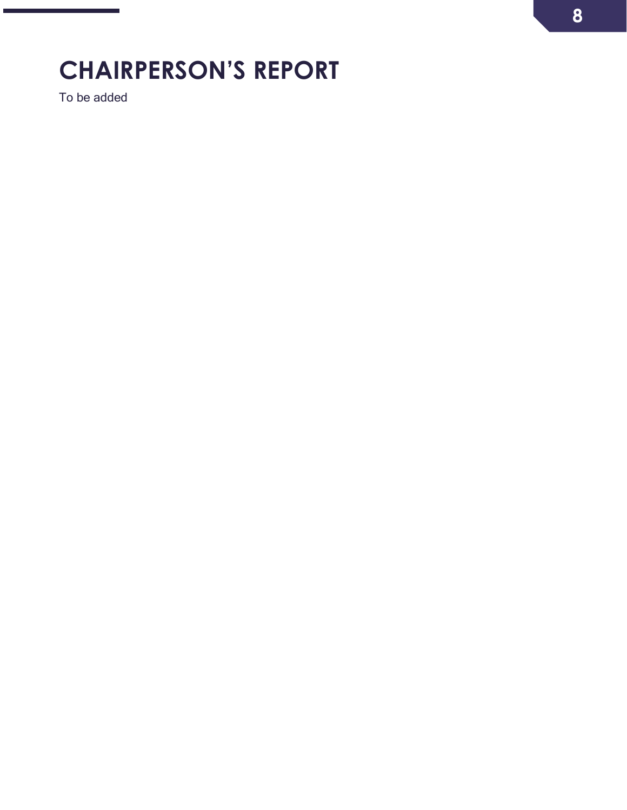## <span id="page-7-0"></span>**CHAIRPERSON'S REPORT**

To be added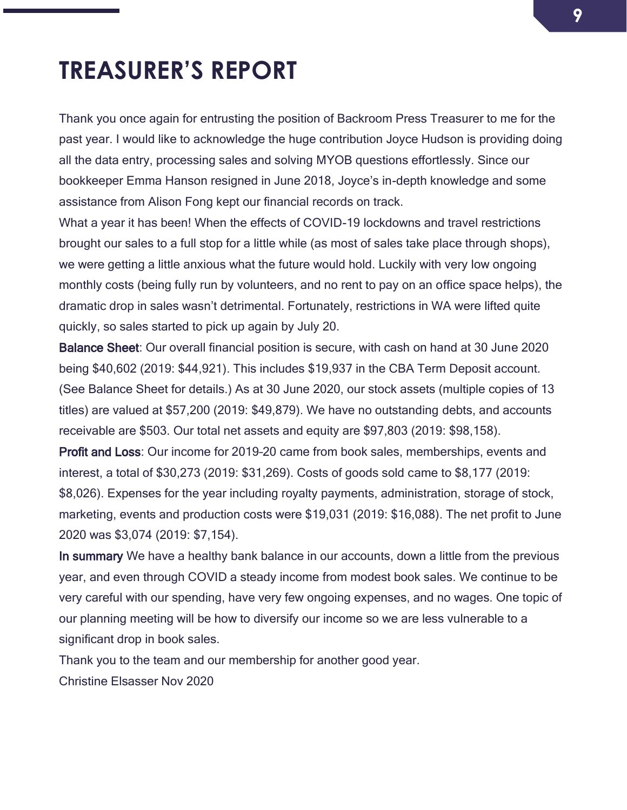### <span id="page-8-0"></span>**TREASURER'S REPORT**

Thank you once again for entrusting the position of Backroom Press Treasurer to me for the past year. I would like to acknowledge the huge contribution Joyce Hudson is providing doing all the data entry, processing sales and solving MYOB questions effortlessly. Since our bookkeeper Emma Hanson resigned in June 2018, Joyce's in-depth knowledge and some assistance from Alison Fong kept our financial records on track.

What a year it has been! When the effects of COVID-19 lockdowns and travel restrictions brought our sales to a full stop for a little while (as most of sales take place through shops), we were getting a little anxious what the future would hold. Luckily with very low ongoing monthly costs (being fully run by volunteers, and no rent to pay on an office space helps), the dramatic drop in sales wasn't detrimental. Fortunately, restrictions in WA were lifted quite quickly, so sales started to pick up again by July 20.

Balance Sheet: Our overall financial position is secure, with cash on hand at 30 June 2020 being \$40,602 (2019: \$44,921). This includes \$19,937 in the CBA Term Deposit account. (See Balance Sheet for details.) As at 30 June 2020, our stock assets (multiple copies of 13 titles) are valued at \$57,200 (2019: \$49,879). We have no outstanding debts, and accounts receivable are \$503. Our total net assets and equity are \$97,803 (2019: \$98,158).

Profit and Loss: Our income for 2019–20 came from book sales, memberships, events and interest, a total of \$30,273 (2019: \$31,269). Costs of goods sold came to \$8,177 (2019: \$8,026). Expenses for the year including royalty payments, administration, storage of stock, marketing, events and production costs were \$19,031 (2019: \$16,088). The net profit to June 2020 was \$3,074 (2019: \$7,154).

In summary We have a healthy bank balance in our accounts, down a little from the previous year, and even through COVID a steady income from modest book sales. We continue to be very careful with our spending, have very few ongoing expenses, and no wages. One topic of our planning meeting will be how to diversify our income so we are less vulnerable to a significant drop in book sales.

Thank you to the team and our membership for another good year.

Christine Elsasser Nov 2020